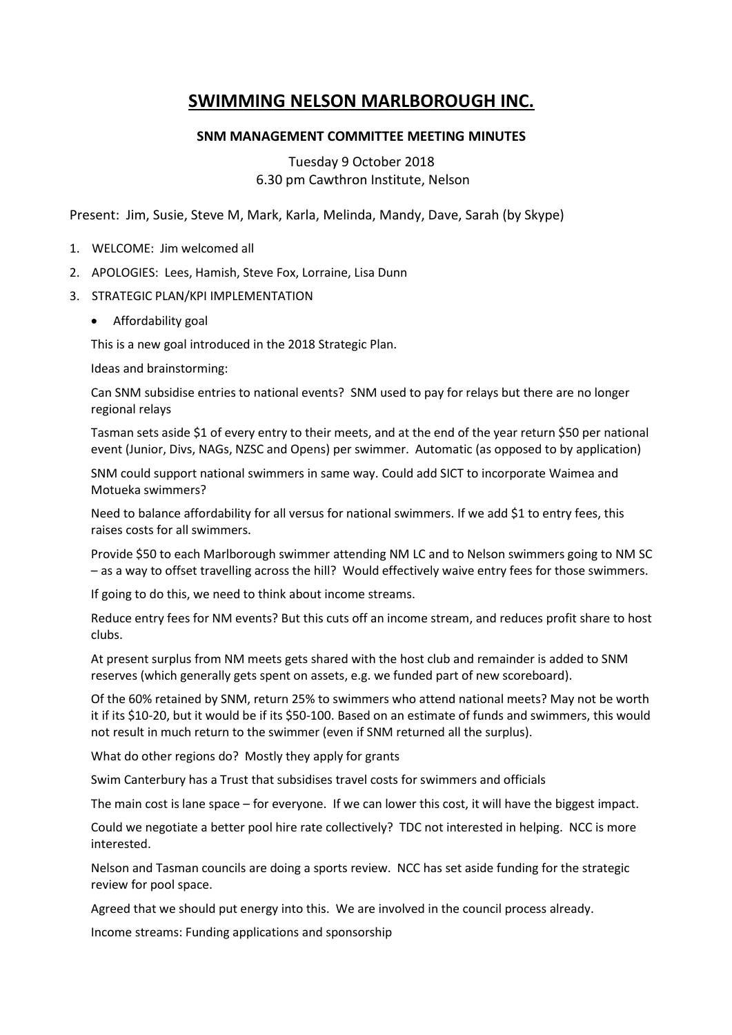# **SWIMMING NELSON MARLBOROUGH INC.**

## **SNM MANAGEMENT COMMITTEE MEETING MINUTES**

Tuesday 9 October 2018 6.30 pm Cawthron Institute, Nelson

Present: Jim, Susie, Steve M, Mark, Karla, Melinda, Mandy, Dave, Sarah (by Skype)

- 1. WELCOME: Jim welcomed all
- 2. APOLOGIES: Lees, Hamish, Steve Fox, Lorraine, Lisa Dunn
- 3. STRATEGIC PLAN/KPI IMPLEMENTATION
	- Affordability goal

This is a new goal introduced in the 2018 Strategic Plan.

Ideas and brainstorming:

Can SNM subsidise entries to national events? SNM used to pay for relays but there are no longer regional relays

Tasman sets aside \$1 of every entry to their meets, and at the end of the year return \$50 per national event (Junior, Divs, NAGs, NZSC and Opens) per swimmer. Automatic (as opposed to by application)

SNM could support national swimmers in same way. Could add SICT to incorporate Waimea and Motueka swimmers?

Need to balance affordability for all versus for national swimmers. If we add \$1 to entry fees, this raises costs for all swimmers.

Provide \$50 to each Marlborough swimmer attending NM LC and to Nelson swimmers going to NM SC – as a way to offset travelling across the hill? Would effectively waive entry fees for those swimmers.

If going to do this, we need to think about income streams.

Reduce entry fees for NM events? But this cuts off an income stream, and reduces profit share to host clubs.

At present surplus from NM meets gets shared with the host club and remainder is added to SNM reserves (which generally gets spent on assets, e.g. we funded part of new scoreboard).

Of the 60% retained by SNM, return 25% to swimmers who attend national meets? May not be worth it if its \$10-20, but it would be if its \$50-100. Based on an estimate of funds and swimmers, this would not result in much return to the swimmer (even if SNM returned all the surplus).

What do other regions do? Mostly they apply for grants

Swim Canterbury has a Trust that subsidises travel costs for swimmers and officials

The main cost is lane space – for everyone. If we can lower this cost, it will have the biggest impact.

Could we negotiate a better pool hire rate collectively? TDC not interested in helping. NCC is more interested.

Nelson and Tasman councils are doing a sports review. NCC has set aside funding for the strategic review for pool space.

Agreed that we should put energy into this. We are involved in the council process already.

Income streams: Funding applications and sponsorship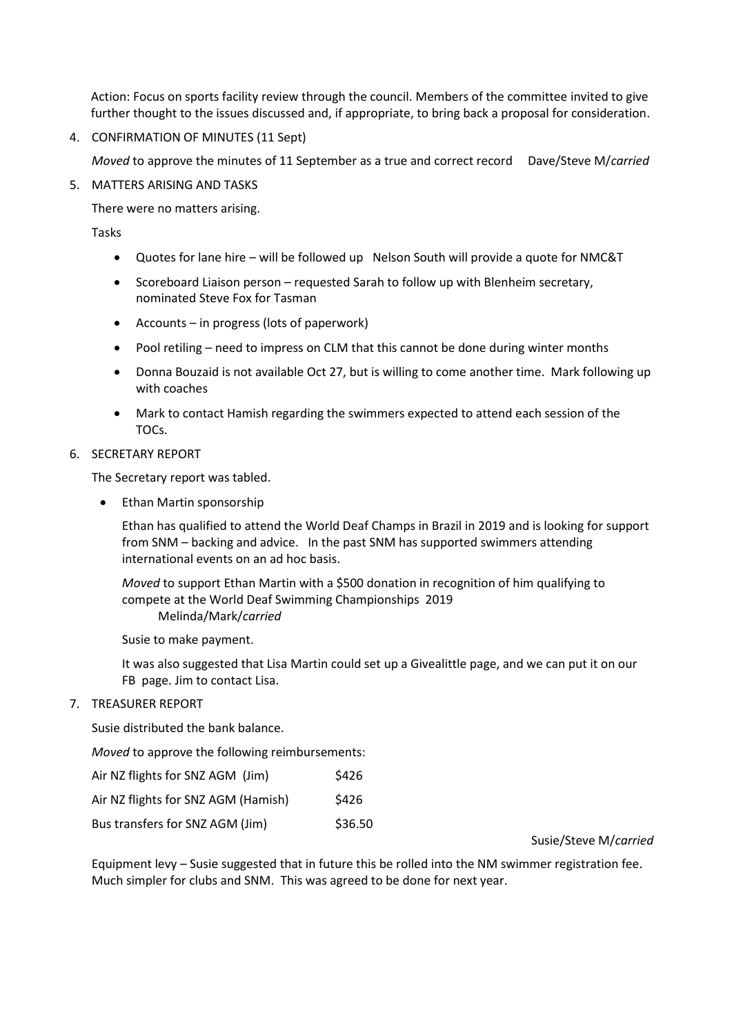Action: Focus on sports facility review through the council. Members of the committee invited to give further thought to the issues discussed and, if appropriate, to bring back a proposal for consideration.

4. CONFIRMATION OF MINUTES (11 Sept)

*Moved* to approve the minutes of 11 September as a true and correct record Dave/Steve M/*carried*

5. MATTERS ARISING AND TASKS

There were no matters arising.

Tasks

- Quotes for lane hire will be followed up Nelson South will provide a quote for NMC&T
- Scoreboard Liaison person requested Sarah to follow up with Blenheim secretary, nominated Steve Fox for Tasman
- Accounts in progress (lots of paperwork)
- Pool retiling need to impress on CLM that this cannot be done during winter months
- Donna Bouzaid is not available Oct 27, but is willing to come another time. Mark following up with coaches
- Mark to contact Hamish regarding the swimmers expected to attend each session of the TOCs.

#### 6. SECRETARY REPORT

The Secretary report was tabled.

• Ethan Martin sponsorship

Ethan has qualified to attend the World Deaf Champs in Brazil in 2019 and is looking for support from SNM – backing and advice. In the past SNM has supported swimmers attending international events on an ad hoc basis.

*Moved* to support Ethan Martin with a \$500 donation in recognition of him qualifying to compete at the World Deaf Swimming Championships 2019 Melinda/Mark/*carried*

Susie to make payment.

It was also suggested that Lisa Martin could set up a Givealittle page, and we can put it on our FB page. Jim to contact Lisa.

#### 7. TREASURER REPORT

Susie distributed the bank balance.

*Moved* to approve the following reimbursements:

| Air NZ flights for SNZ AGM (Jim)    | \$426   |
|-------------------------------------|---------|
| Air NZ flights for SNZ AGM (Hamish) | \$426   |
| Bus transfers for SNZ AGM (Jim)     | \$36.50 |

Susie/Steve M/*carried*

Equipment levy – Susie suggested that in future this be rolled into the NM swimmer registration fee. Much simpler for clubs and SNM. This was agreed to be done for next year.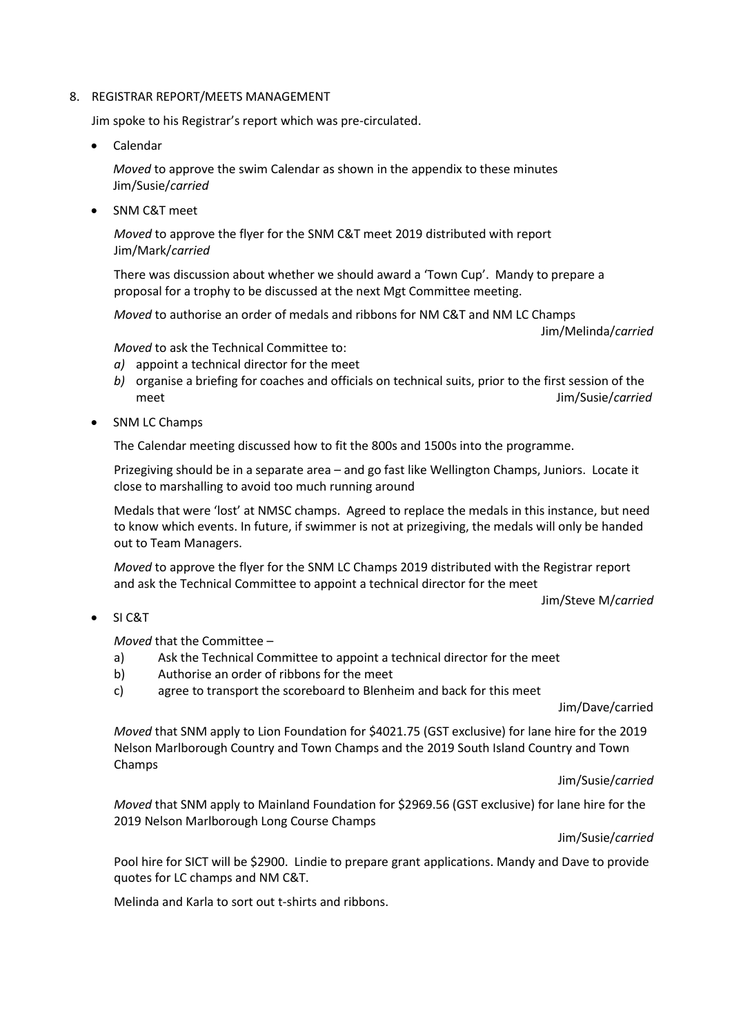#### 8. REGISTRAR REPORT/MEETS MANAGEMENT

Jim spoke to his Registrar's report which was pre-circulated.

Calendar

*Moved* to approve the swim Calendar as shown in the appendix to these minutes Jim/Susie/*carried*

• SNM C&T meet

*Moved* to approve the flyer for the SNM C&T meet 2019 distributed with report Jim/Mark/*carried*

There was discussion about whether we should award a 'Town Cup'. Mandy to prepare a proposal for a trophy to be discussed at the next Mgt Committee meeting.

*Moved* to authorise an order of medals and ribbons for NM C&T and NM LC Champs

Jim/Melinda/*carried*

*Moved* to ask the Technical Committee to:

- *a)* appoint a technical director for the meet
- *b)* organise a briefing for coaches and officials on technical suits, prior to the first session of the meet Jim/Susie/*carried*
- SNM LC Champs

The Calendar meeting discussed how to fit the 800s and 1500s into the programme.

Prizegiving should be in a separate area – and go fast like Wellington Champs, Juniors. Locate it close to marshalling to avoid too much running around

Medals that were 'lost' at NMSC champs. Agreed to replace the medals in this instance, but need to know which events. In future, if swimmer is not at prizegiving, the medals will only be handed out to Team Managers.

*Moved* to approve the flyer for the SNM LC Champs 2019 distributed with the Registrar report and ask the Technical Committee to appoint a technical director for the meet

Jim/Steve M/*carried*

SI C&T

*Moved* that the Committee –

- a) Ask the Technical Committee to appoint a technical director for the meet
- b) Authorise an order of ribbons for the meet
- c) agree to transport the scoreboard to Blenheim and back for this meet

Jim/Dave/carried

*Moved* that SNM apply to Lion Foundation for \$4021.75 (GST exclusive) for lane hire for the 2019 Nelson Marlborough Country and Town Champs and the 2019 South Island Country and Town Champs

Jim/Susie/*carried*

*Moved* that SNM apply to Mainland Foundation for \$2969.56 (GST exclusive) for lane hire for the 2019 Nelson Marlborough Long Course Champs

Jim/Susie/*carried*

Pool hire for SICT will be \$2900. Lindie to prepare grant applications. Mandy and Dave to provide quotes for LC champs and NM C&T.

Melinda and Karla to sort out t-shirts and ribbons.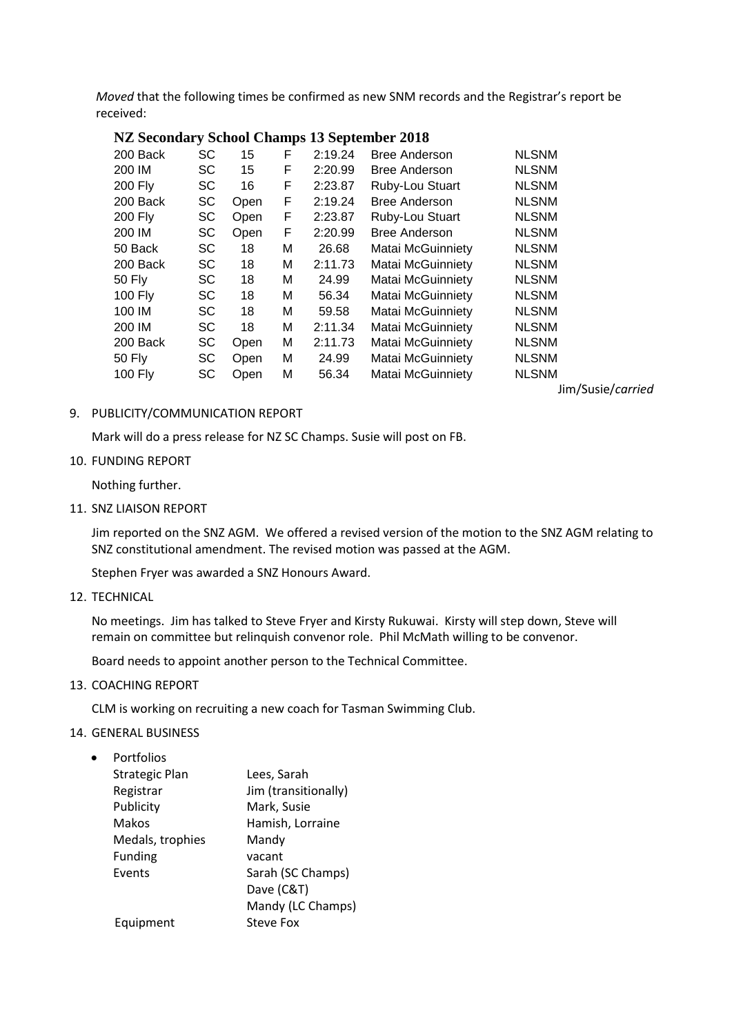*Moved* that the following times be confirmed as new SNM records and the Registrar's report be received:

|  |  | NZ Secondary School Champs 13 September 2018 |
|--|--|----------------------------------------------|
|  |  |                                              |

| 200 Back       | <b>SC</b> | 15   | F | 2:19.24 | <b>Bree Anderson</b>     | <b>NLSNM</b> |
|----------------|-----------|------|---|---------|--------------------------|--------------|
| 200 IM         | SC        | 15   | F | 2:20.99 | <b>Bree Anderson</b>     | <b>NLSNM</b> |
| <b>200 Fly</b> | <b>SC</b> | 16   | F | 2:23.87 | Ruby-Lou Stuart          | <b>NLSNM</b> |
| 200 Back       | <b>SC</b> | Open | F | 2:19.24 | <b>Bree Anderson</b>     | <b>NLSNM</b> |
| <b>200 Fly</b> | <b>SC</b> | Open | F | 2:23.87 | Ruby-Lou Stuart          | <b>NLSNM</b> |
| 200 IM         | <b>SC</b> | Open | F | 2:20.99 | <b>Bree Anderson</b>     | <b>NLSNM</b> |
| 50 Back        | <b>SC</b> | 18   | М | 26.68   | <b>Matai McGuinniety</b> | <b>NLSNM</b> |
| 200 Back       | <b>SC</b> | 18   | M | 2:11.73 | Matai McGuinniety        | <b>NLSNM</b> |
| 50 Fly         | <b>SC</b> | 18   | М | 24.99   | <b>Matai McGuinniety</b> | <b>NLSNM</b> |
| 100 $Fly$      | SC        | 18   | M | 56.34   | Matai McGuinniety        | <b>NLSNM</b> |
| 100 IM         | <b>SC</b> | 18   | М | 59.58   | <b>Matai McGuinniety</b> | <b>NLSNM</b> |
| 200 IM         | <b>SC</b> | 18   | М | 2:11.34 | Matai McGuinniety        | <b>NLSNM</b> |
| 200 Back       | <b>SC</b> | Open | м | 2:11.73 | Matai McGuinniety        | <b>NLSNM</b> |
| 50 Fly         | <b>SC</b> | Open | м | 24.99   | Matai McGuinniety        | <b>NLSNM</b> |
| 100 Fly        | SC        | Open | Μ | 56.34   | Matai McGuinniety        | <b>NLSNM</b> |
|                |           |      |   |         |                          |              |

Jim/Susie/*carried*

#### 9. PUBLICITY/COMMUNICATION REPORT

Mark will do a press release for NZ SC Champs. Susie will post on FB.

### 10. FUNDING REPORT

Nothing further.

11. SNZ LIAISON REPORT

Jim reported on the SNZ AGM. We offered a revised version of the motion to the SNZ AGM relating to SNZ constitutional amendment. The revised motion was passed at the AGM.

Stephen Fryer was awarded a SNZ Honours Award.

12. TECHNICAL

No meetings. Jim has talked to Steve Fryer and Kirsty Rukuwai. Kirsty will step down, Steve will remain on committee but relinquish convenor role. Phil McMath willing to be convenor.

Board needs to appoint another person to the Technical Committee.

13. COACHING REPORT

CLM is working on recruiting a new coach for Tasman Swimming Club.

#### 14. GENERAL BUSINESS

• Portfolios

| <b>Strategic Plan</b> | Lees, Sarah          |
|-----------------------|----------------------|
| Registrar             | Jim (transitionally) |
| Publicity             | Mark, Susie          |
| Makos                 | Hamish, Lorraine     |
| Medals, trophies      | Mandy                |
| <b>Funding</b>        | vacant               |
| Events                | Sarah (SC Champs)    |
|                       | Dave (C&T)           |
|                       | Mandy (LC Champs)    |
| Equipment             | Steve Fox            |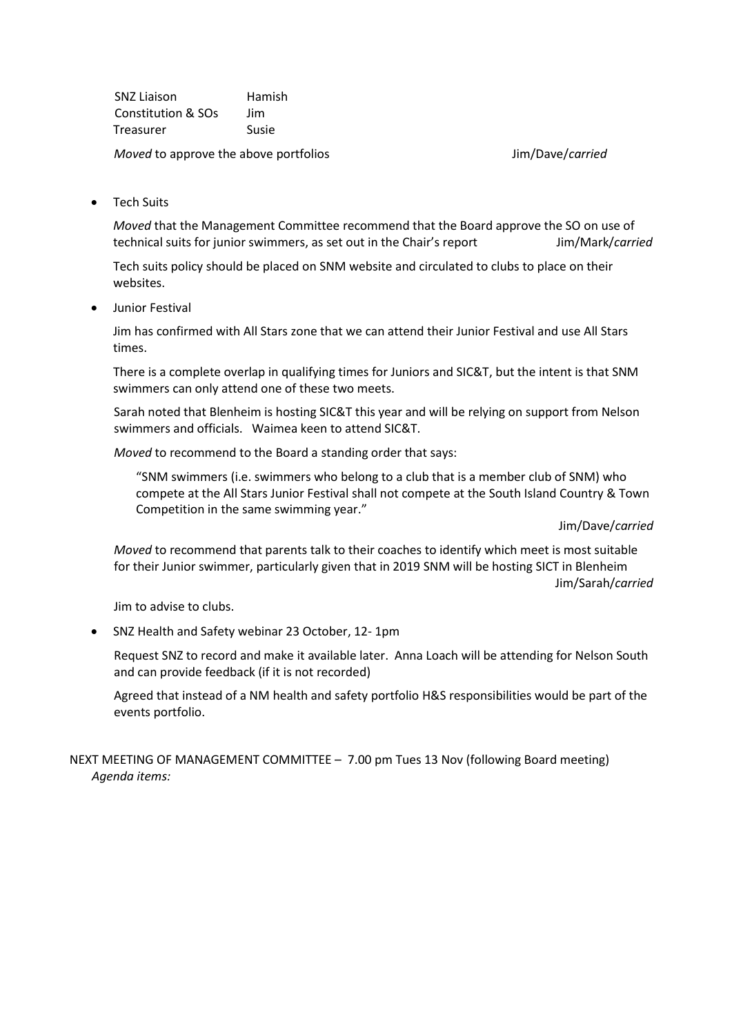SNZ Liaison Hamish Constitution & SOs Jim Treasurer Susie

*Moved* to approve the above portfolios Moved to approve the above portfolios And Move in the Summan Move of the Move

• Tech Suits

*Moved* that the Management Committee recommend that the Board approve the SO on use of technical suits for junior swimmers, as set out in the Chair's report Jim/Mark/*carried*

Tech suits policy should be placed on SNM website and circulated to clubs to place on their websites.

Junior Festival

Jim has confirmed with All Stars zone that we can attend their Junior Festival and use All Stars times.

There is a complete overlap in qualifying times for Juniors and SIC&T, but the intent is that SNM swimmers can only attend one of these two meets.

Sarah noted that Blenheim is hosting SIC&T this year and will be relying on support from Nelson swimmers and officials. Waimea keen to attend SIC&T.

*Moved* to recommend to the Board a standing order that says:

"SNM swimmers (i.e. swimmers who belong to a club that is a member club of SNM) who compete at the All Stars Junior Festival shall not compete at the South Island Country & Town Competition in the same swimming year."

Jim/Dave/*carried*

*Moved* to recommend that parents talk to their coaches to identify which meet is most suitable for their Junior swimmer, particularly given that in 2019 SNM will be hosting SICT in Blenheim Jim/Sarah/*carried*

Jim to advise to clubs.

SNZ Health and Safety webinar 23 October, 12- 1pm

Request SNZ to record and make it available later. Anna Loach will be attending for Nelson South and can provide feedback (if it is not recorded)

Agreed that instead of a NM health and safety portfolio H&S responsibilities would be part of the events portfolio.

NEXT MEETING OF MANAGEMENT COMMITTEE – 7.00 pm Tues 13 Nov (following Board meeting) *Agenda items:*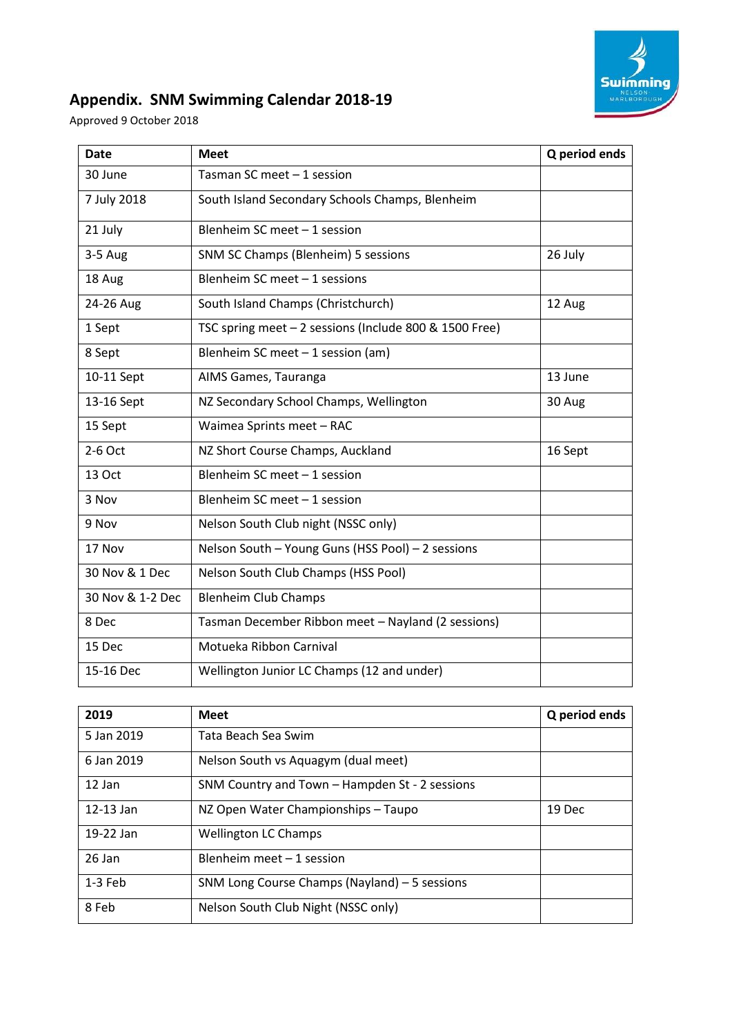

# **Appendix. SNM Swimming Calendar 2018-19**

Approved 9 October 2018

| <b>Date</b>      | <b>Meet</b>                                            | Q period ends |
|------------------|--------------------------------------------------------|---------------|
| 30 June          | Tasman SC meet $-1$ session                            |               |
| 7 July 2018      | South Island Secondary Schools Champs, Blenheim        |               |
| 21 July          | Blenheim SC meet - 1 session                           |               |
| $3-5$ Aug        | SNM SC Champs (Blenheim) 5 sessions                    | 26 July       |
| 18 Aug           | Blenheim SC meet - 1 sessions                          |               |
| 24-26 Aug        | South Island Champs (Christchurch)                     | 12 Aug        |
| 1 Sept           | TSC spring meet - 2 sessions (Include 800 & 1500 Free) |               |
| 8 Sept           | Blenheim SC meet $-1$ session (am)                     |               |
| 10-11 Sept       | AIMS Games, Tauranga                                   | 13 June       |
| 13-16 Sept       | NZ Secondary School Champs, Wellington                 | 30 Aug        |
| 15 Sept          | Waimea Sprints meet - RAC                              |               |
| 2-6 Oct          | NZ Short Course Champs, Auckland                       | 16 Sept       |
| 13 Oct           | Blenheim SC meet - 1 session                           |               |
| 3 Nov            | Blenheim SC meet - 1 session                           |               |
| 9 Nov            | Nelson South Club night (NSSC only)                    |               |
| 17 Nov           | Nelson South - Young Guns (HSS Pool) - 2 sessions      |               |
| 30 Nov & 1 Dec   | Nelson South Club Champs (HSS Pool)                    |               |
| 30 Nov & 1-2 Dec | <b>Blenheim Club Champs</b>                            |               |
| 8 Dec            | Tasman December Ribbon meet - Nayland (2 sessions)     |               |
| 15 Dec           | Motueka Ribbon Carnival                                |               |
| 15-16 Dec        | Wellington Junior LC Champs (12 and under)             |               |

| 2019          | <b>Meet</b>                                    | Q period ends |
|---------------|------------------------------------------------|---------------|
| 5 Jan 2019    | Tata Beach Sea Swim                            |               |
| 6 Jan 2019    | Nelson South vs Aquagym (dual meet)            |               |
| $12$ Jan      | SNM Country and Town - Hampden St - 2 sessions |               |
| $12 - 13$ Jan | NZ Open Water Championships - Taupo            | 19 Dec        |
| 19-22 Jan     | <b>Wellington LC Champs</b>                    |               |
| 26 Jan        | Blenheim meet $-1$ session                     |               |
| $1-3$ Feb     | SNM Long Course Champs (Nayland) - 5 sessions  |               |
| 8 Feb         | Nelson South Club Night (NSSC only)            |               |